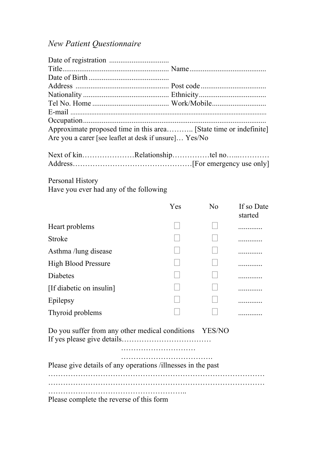## *New Patient Questionnaire*

| Are you a carer [see leaflet at desk if unsure] Yes/No |  |
|--------------------------------------------------------|--|
|                                                        |  |

Address…………………………………………[For emergency use only]

Personal History Have you ever had any of the following

|                                                              | Yes | N <sub>0</sub> | If so Date<br>started |  |  |
|--------------------------------------------------------------|-----|----------------|-----------------------|--|--|
| Heart problems                                               |     |                |                       |  |  |
| <b>Stroke</b>                                                |     |                |                       |  |  |
| Asthma /lung disease                                         |     |                |                       |  |  |
| <b>High Blood Pressure</b>                                   |     |                |                       |  |  |
| Diabetes                                                     |     |                |                       |  |  |
| [If diabetic on insulin]                                     |     |                |                       |  |  |
| Epilepsy                                                     |     |                |                       |  |  |
| Thyroid problems                                             |     |                |                       |  |  |
| Do you suffer from any other medical conditions YES/NO       |     |                |                       |  |  |
| Please give details of any operations /illnesses in the past |     |                |                       |  |  |
| Please complete the reverse of this form                     |     |                |                       |  |  |